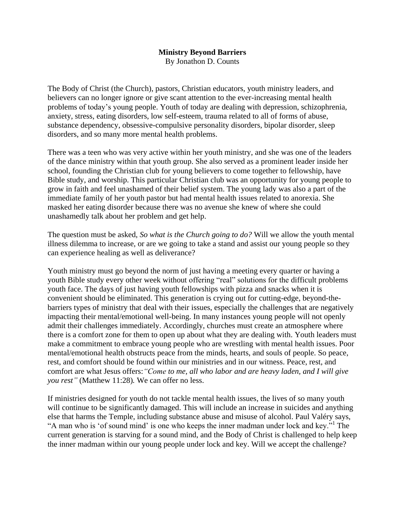## **Ministry Beyond Barriers**

By Jonathon D. Counts

The Body of Christ (the Church), pastors, Christian educators, youth ministry leaders, and believers can no longer ignore or give scant attention to the ever-increasing mental health problems of today's young people. Youth of today are dealing with depression, schizophrenia, anxiety, stress, eating disorders, low self-esteem, trauma related to all of forms of abuse, substance dependency, obsessive-compulsive personality disorders, bipolar disorder, sleep disorders, and so many more mental health problems.

There was a teen who was very active within her youth ministry, and she was one of the leaders of the dance ministry within that youth group. She also served as a prominent leader inside her school, founding the Christian club for young believers to come together to fellowship, have Bible study, and worship. This particular Christian club was an opportunity for young people to grow in faith and feel unashamed of their belief system. The young lady was also a part of the immediate family of her youth pastor but had mental health issues related to anorexia. She masked her eating disorder because there was no avenue she knew of where she could unashamedly talk about her problem and get help.

The question must be asked, *So what is the Church going to do?* Will we allow the youth mental illness dilemma to increase, or are we going to take a stand and assist our young people so they can experience healing as well as deliverance?

Youth ministry must go beyond the norm of just having a meeting every quarter or having a youth Bible study every other week without offering "real" solutions for the difficult problems youth face. The days of just having youth fellowships with pizza and snacks when it is convenient should be eliminated. This generation is crying out for cutting-edge, beyond-thebarriers types of ministry that deal with their issues, especially the challenges that are negatively impacting their mental/emotional well-being. In many instances young people will not openly admit their challenges immediately. Accordingly, churches must create an atmosphere where there is a comfort zone for them to open up about what they are dealing with. Youth leaders must make a commitment to embrace young people who are wrestling with mental health issues. Poor mental/emotional health obstructs peace from the minds, hearts, and souls of people. So peace, rest, and comfort should be found within our ministries and in our witness. Peace, rest, and comfort are what Jesus offers:*"Come to me, all who labor and are heavy laden, and I will give you rest"* (Matthew 11:28)*.* We can offer no less.

If ministries designed for youth do not tackle mental health issues, the lives of so many youth will continue to be significantly damaged. This will include an increase in suicides and anything else that harms the Temple, including substance abuse and misuse of alcohol. Paul Valéry says, "A man who is 'of sound mind' is one who keeps the inner madman under lock and key."<sup>1</sup> The current generation is starving for a sound mind, and the Body of Christ is challenged to help keep the inner madman within our young people under lock and key. Will we accept the challenge?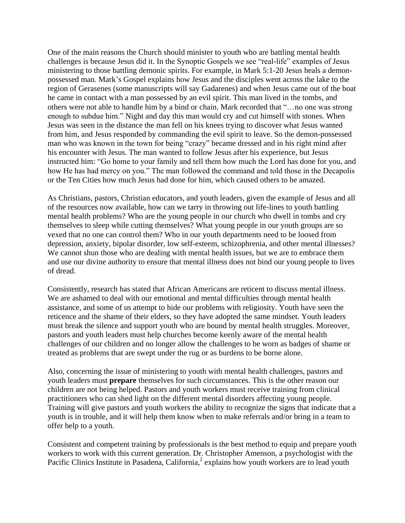One of the main reasons the Church should minister to youth who are battling mental health challenges is because Jesus did it. In the Synoptic Gospels we see "real-life" examples of Jesus ministering to those battling demonic spirits. For example, in Mark 5:1-20 Jesus heals a demonpossessed man. Mark's Gospel explains how Jesus and the disciples went across the lake to the region of Gerasenes (some manuscripts will say Gadarenes) and when Jesus came out of the boat he came in contact with a man possessed by an evil spirit. This man lived in the tombs, and others were not able to handle him by a bind or chain. Mark recorded that "…no one was strong enough to subdue him." Night and day this man would cry and cut himself with stones. When Jesus was seen in the distance the man fell on his knees trying to discover what Jesus wanted from him, and Jesus responded by commanding the evil spirit to leave. So the demon-possessed man who was known in the town for being "crazy" became dressed and in his right mind after his encounter with Jesus. The man wanted to follow Jesus after his experience, but Jesus instructed him: "Go home to your family and tell them how much the Lord has done for you, and how He has had mercy on you." The man followed the command and told those in the Decapolis or the Ten Cities how much Jesus had done for him, which caused others to be amazed.

As Christians, pastors, Christian educators, and youth leaders, given the example of Jesus and all of the resources now available, how can we tarry in throwing out life-lines to youth battling mental health problems? Who are the young people in our church who dwell in tombs and cry themselves to sleep while cutting themselves? What young people in our youth groups are so vexed that no one can control them? Who in our youth departments need to be loosed from depression, anxiety, bipolar disorder, low self-esteem, schizophrenia, and other mental illnesses? We cannot shun those who are dealing with mental health issues, but we are to embrace them and use our divine authority to ensure that mental illness does not bind our young people to lives of dread.

Consistently, research has stated that African Americans are reticent to discuss mental illness. We are ashamed to deal with our emotional and mental difficulties through mental health assistance, and some of us attempt to hide our problems with religiosity. Youth have seen the reticence and the shame of their elders, so they have adopted the same mindset. Youth leaders must break the silence and support youth who are bound by mental health struggles. Moreover, pastors and youth leaders must help churches become keenly aware of the mental health challenges of our children and no longer allow the challenges to be worn as badges of shame or treated as problems that are swept under the rug or as burdens to be borne alone.

Also, concerning the issue of ministering to youth with mental health challenges, pastors and youth leaders must **prepare** themselves for such circumstances. This is the other reason our children are not being helped. Pastors and youth workers must receive training from clinical practitioners who can shed light on the different mental disorders affecting young people. Training will give pastors and youth workers the ability to recognize the signs that indicate that a youth is in trouble, and it will help them know when to make referrals and/or bring in a team to offer help to a youth.

Consistent and competent training by professionals is the best method to equip and prepare youth workers to work with this current generation. Dr. Christopher Amenson, a psychologist with the Pacific Clinics Institute in Pasadena, California,<sup>2</sup> explains how youth workers are to lead youth